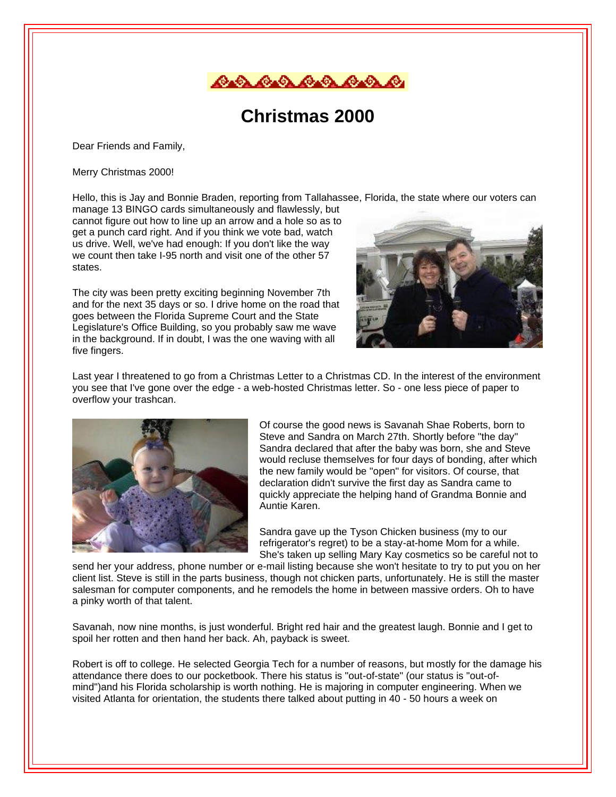

## **Christmas 2000**

Dear Friends and Family,

Merry Christmas 2000!

Hello, this is Jay and Bonnie Braden, reporting from Tallahassee, Florida, the state where our voters can

manage 13 BINGO cards simultaneously and flawlessly, but cannot figure out how to line up an arrow and a hole so as to get a punch card right. And if you think we vote bad, watch us drive. Well, we've had enough: If you don't like the way we count then take I-95 north and visit one of the other 57 states.

The city was been pretty exciting beginning November 7th and for the next 35 days or so. I drive home on the road that goes between the Florida Supreme Court and the State Legislature's Office Building, so you probably saw me wave in the background. If in doubt, I was the one waving with all five fingers.



Last year I threatened to go from a Christmas Letter to a Christmas CD. In the interest of the environment you see that I've gone over the edge - a web-hosted Christmas letter. So - one less piece of paper to overflow your trashcan.



Of course the good news is Savanah Shae Roberts, born to Steve and Sandra on March 27th. Shortly before "the day" Sandra declared that after the baby was born, she and Steve would recluse themselves for four days of bonding, after which the new family would be "open" for visitors. Of course, that declaration didn't survive the first day as Sandra came to quickly appreciate the helping hand of Grandma Bonnie and Auntie Karen.

Sandra gave up the Tyson Chicken business (my to our refrigerator's regret) to be a stay-at-home Mom for a while. She's taken up selling Mary Kay cosmetics so be careful not to

send her your address, phone number or e-mail listing because she won't hesitate to try to put you on her client list. Steve is still in the parts business, though not chicken parts, unfortunately. He is still the master salesman for computer components, and he remodels the home in between massive orders. Oh to have a pinky worth of that talent.

Savanah, now nine months, is just wonderful. Bright red hair and the greatest laugh. Bonnie and I get to spoil her rotten and then hand her back. Ah, payback is sweet.

Robert is off to college. He selected Georgia Tech for a number of reasons, but mostly for the damage his attendance there does to our pocketbook. There his status is "out-of-state" (our status is "out-ofmind")and his Florida scholarship is worth nothing. He is majoring in computer engineering. When we visited Atlanta for orientation, the students there talked about putting in 40 - 50 hours a week on